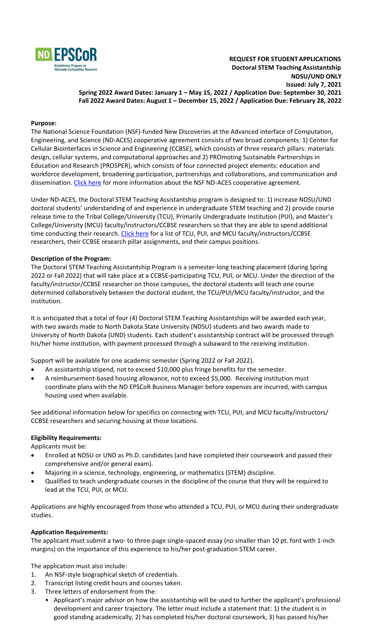

#### **Purpose:**

The National Science Foundation (NSF)-funded New Discoveries at the Advanced interface of Computation, Engineering, and Science (ND-ACES) cooperative agreement consists of two broad components: 1) Center for Cellular Biointerfaces in Science and Engineering (CCBSE), which consists of three research pillars: materials design, cellular systems, and computational approaches and 2) PROmoting Sustainable Partnerships in Education and Research (PROSPER), which consists of four connected project elements: education and workforce development, broadening participation, partnerships and collaborations, and communication and dissemination. [Click here](https://www.ndepscor.ndus.edu/ndepscorprograms/track_1_nd_aces_prime_institution_ndsu_2020_2025/) for more information about the NSF ND-ACES cooperative agreement.

Under ND-ACES, the Doctoral STEM Teaching Assistantship program is designed to: 1) increase NDSU/UND doctoral students' understanding of and experience in undergraduate STEM teaching and 2) provide course release time to the Tribal College/University (TCU), Primarily Undergraduate Institution (PUI), and Master's College/University (MCU) faculty/instructors/CCBSE researchers so that they are able to spend additional time conducting their research. [Click here](https://www.ndepscor.ndus.edu/fileadmin/ndus/ndepscor/STEM/List_of_TCU_PUI_and_MCU_CCBSE_researchers.pdf) for a list of TCU, PUI, and MCU faculty/instructors/CCBSE researchers, their CCBSE research pillar assignments, and their campus positions.

#### **Description of the Program:**

The Doctoral STEM Teaching Assistantship Program is a semester-long teaching placement (during Spring 2022 or Fall 2022) that will take place at a CCBSE-participating TCU, PUI, or MCU. Under the direction of the faculty/instructor/CCBSE researcher on those campuses, the doctoral students will teach one course determined collaboratively between the doctoral student, the TCU/PUI/MCU faculty/instructor, and the institution.

It is anticipated that a total of four (4) Doctoral STEM Teaching Assistantships will be awarded each year, with two awards made to North Dakota State University (NDSU) students and two awards made to University of North Dakota (UND) students. Each student's assistantship contract will be processed through his/her home institution, with payment processed through a subaward to the receiving institution.

Support will be available for one academic semester (Spring 2022 or Fall 2022).

- An assistantship stipend, not to exceed \$10,000 plus fringe benefits for the semester.
- A reimbursement-based housing allowance, not to exceed \$5,000. Receiving institution must coordinate plans with the ND EPSCoR Business Manager before expenses are incurred, with campus housing used when available.

See additional information below for specifics on connecting with TCU, PUI, and MCU faculty/instructors/ CCBSE researchers and securing housing at those locations.

## **Eligibility Requirements:**

Applicants must be:

- Enrolled at NDSU or UND as Ph.D. candidates (and have completed their coursework and passed their comprehensive and/or general exam).
- Majoring in a science, technology, engineering, or mathematics (STEM) discipline.
- Qualified to teach undergraduate courses in the discipline of the course that they will be required to lead at the TCU, PUI, or MCU.

Applications are highly encouraged from those who attended a TCU, PUI, or MCU during their undergraduate studies.

## **Application Requirements:**

The applicant must submit a two- to three-page single-spaced essay (no smaller than 10 pt. font with 1-inch margins) on the importance of this experience to his/her post-graduation STEM career.

The application must also include:

- 1. An NSF-style biographical sketch of credentials.
- 2. Transcript listing credit hours and courses taken.
- 3. Three letters of endorsement from the:
	- Applicant's major advisor on how the assistantship will be used to further the applicant's professional development and career trajectory. The letter must include a statement that: 1) the student is in good standing academically, 2) has completed his/her doctoral coursework, 3) has passed his/her